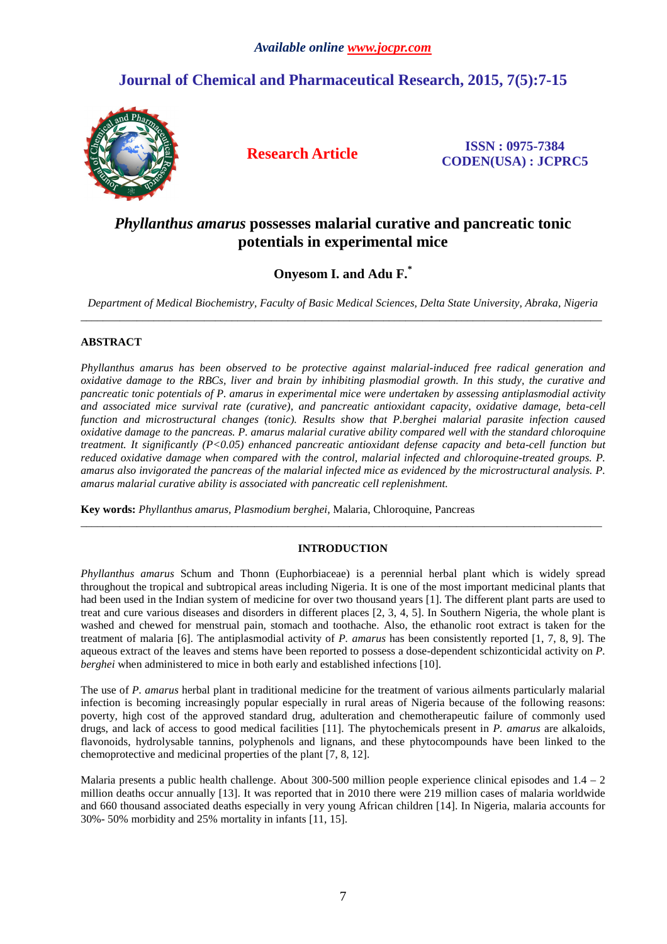# **Journal of Chemical and Pharmaceutical Research, 2015, 7(5):7-15**



**Research Article ISSN : 0975-7384 CODEN(USA) : JCPRC5**

## *Phyllanthus amarus* **possesses malarial curative and pancreatic tonic potentials in experimental mice**

## **Onyesom I. and Adu F.\***

*Department of Medical Biochemistry, Faculty of Basic Medical Sciences, Delta State University, Abraka, Nigeria*  \_\_\_\_\_\_\_\_\_\_\_\_\_\_\_\_\_\_\_\_\_\_\_\_\_\_\_\_\_\_\_\_\_\_\_\_\_\_\_\_\_\_\_\_\_\_\_\_\_\_\_\_\_\_\_\_\_\_\_\_\_\_\_\_\_\_\_\_\_\_\_\_\_\_\_\_\_\_\_\_\_\_\_\_\_\_\_\_\_\_\_\_\_

## **ABSTRACT**

*Phyllanthus amarus has been observed to be protective against malarial-induced free radical generation and oxidative damage to the RBCs, liver and brain by inhibiting plasmodial growth. In this study, the curative and pancreatic tonic potentials of P. amarus in experimental mice were undertaken by assessing antiplasmodial activity and associated mice survival rate (curative), and pancreatic antioxidant capacity, oxidative damage, beta-cell function and microstructural changes (tonic). Results show that P.berghei malarial parasite infection caused oxidative damage to the pancreas. P. amarus malarial curative ability compared well with the standard chloroquine treatment. It significantly (P<0.05) enhanced pancreatic antioxidant defense capacity and beta-cell function but reduced oxidative damage when compared with the control, malarial infected and chloroquine-treated groups. P. amarus also invigorated the pancreas of the malarial infected mice as evidenced by the microstructural analysis. P. amarus malarial curative ability is associated with pancreatic cell replenishment.* 

**Key words:** *Phyllanthus amarus, Plasmodium berghei,* Malaria, Chloroquine, Pancreas

## **INTRODUCTION**

 $\overline{a}$  , and the contribution of the contribution of the contribution of the contribution of the contribution of the contribution of the contribution of the contribution of the contribution of the contribution of the co

*Phyllanthus amarus* Schum and Thonn (Euphorbiaceae) is a perennial herbal plant which is widely spread throughout the tropical and subtropical areas including Nigeria. It is one of the most important medicinal plants that had been used in the Indian system of medicine for over two thousand years [1]. The different plant parts are used to treat and cure various diseases and disorders in different places [2, 3, 4, 5]. In Southern Nigeria, the whole plant is washed and chewed for menstrual pain, stomach and toothache. Also, the ethanolic root extract is taken for the treatment of malaria [6]. The antiplasmodial activity of *P. amarus* has been consistently reported [1, 7, 8, 9]. The aqueous extract of the leaves and stems have been reported to possess a dose-dependent schizonticidal activity on *P. berghei* when administered to mice in both early and established infections [10].

The use of *P. amarus* herbal plant in traditional medicine for the treatment of various ailments particularly malarial infection is becoming increasingly popular especially in rural areas of Nigeria because of the following reasons: poverty, high cost of the approved standard drug, adulteration and chemotherapeutic failure of commonly used drugs, and lack of access to good medical facilities [11]. The phytochemicals present in *P. amarus* are alkaloids, flavonoids, hydrolysable tannins, polyphenols and lignans, and these phytocompounds have been linked to the chemoprotective and medicinal properties of the plant [7, 8, 12].

Malaria presents a public health challenge. About 300-500 million people experience clinical episodes and  $1.4 - 2$ million deaths occur annually [13]. It was reported that in 2010 there were 219 million cases of malaria worldwide and 660 thousand associated deaths especially in very young African children [14]. In Nigeria, malaria accounts for 30%- 50% morbidity and 25% mortality in infants [11, 15].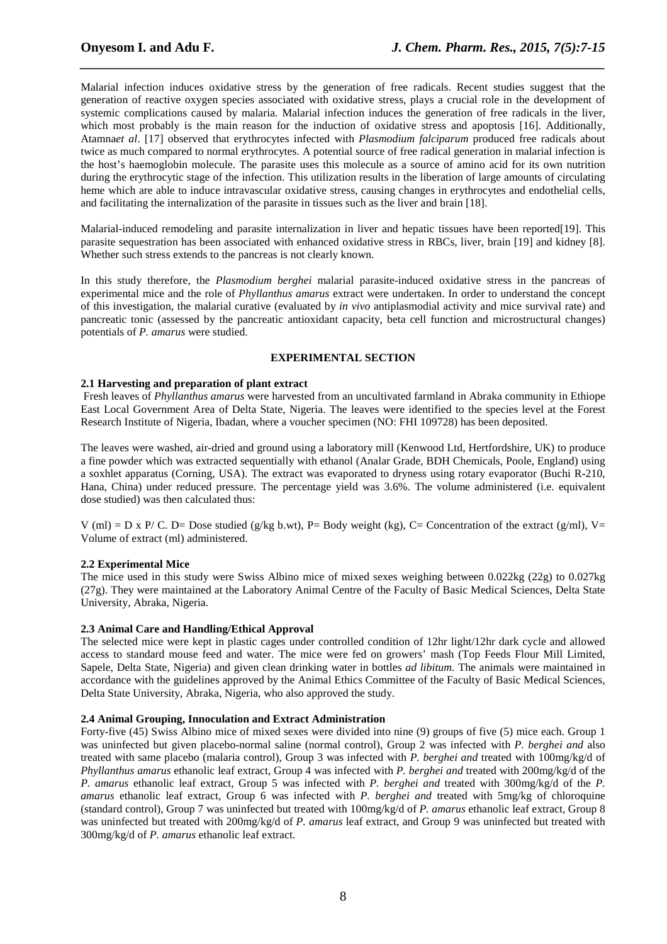Malarial infection induces oxidative stress by the generation of free radicals. Recent studies suggest that the generation of reactive oxygen species associated with oxidative stress, plays a crucial role in the development of systemic complications caused by malaria. Malarial infection induces the generation of free radicals in the liver, which most probably is the main reason for the induction of oxidative stress and apoptosis [16]. Additionally, Atamna*et al*. [17] observed that erythrocytes infected with *Plasmodium falciparum* produced free radicals about twice as much compared to normal erythrocytes. A potential source of free radical generation in malarial infection is the host's haemoglobin molecule. The parasite uses this molecule as a source of amino acid for its own nutrition during the erythrocytic stage of the infection. This utilization results in the liberation of large amounts of circulating heme which are able to induce intravascular oxidative stress, causing changes in erythrocytes and endothelial cells, and facilitating the internalization of the parasite in tissues such as the liver and brain [18].

*\_\_\_\_\_\_\_\_\_\_\_\_\_\_\_\_\_\_\_\_\_\_\_\_\_\_\_\_\_\_\_\_\_\_\_\_\_\_\_\_\_\_\_\_\_\_\_\_\_\_\_\_\_\_\_\_\_\_\_\_\_\_\_\_\_\_\_\_\_\_\_\_\_\_\_\_\_\_*

Malarial-induced remodeling and parasite internalization in liver and hepatic tissues have been reported[19]. This parasite sequestration has been associated with enhanced oxidative stress in RBCs, liver, brain [19] and kidney [8]. Whether such stress extends to the pancreas is not clearly known.

In this study therefore, the *Plasmodium berghei* malarial parasite-induced oxidative stress in the pancreas of experimental mice and the role of *Phyllanthus amarus* extract were undertaken. In order to understand the concept of this investigation, the malarial curative (evaluated by *in vivo* antiplasmodial activity and mice survival rate) and pancreatic tonic (assessed by the pancreatic antioxidant capacity, beta cell function and microstructural changes) potentials of *P. amarus* were studied.

## **EXPERIMENTAL SECTION**

## **2.1 Harvesting and preparation of plant extract**

 Fresh leaves of *Phyllanthus amarus* were harvested from an uncultivated farmland in Abraka community in Ethiope East Local Government Area of Delta State, Nigeria. The leaves were identified to the species level at the Forest Research Institute of Nigeria, Ibadan, where a voucher specimen (NO: FHI 109728) has been deposited.

The leaves were washed, air-dried and ground using a laboratory mill (Kenwood Ltd, Hertfordshire, UK) to produce a fine powder which was extracted sequentially with ethanol (Analar Grade, BDH Chemicals, Poole, England) using a soxhlet apparatus (Corning, USA). The extract was evaporated to dryness using rotary evaporator (Buchi R-210, Hana, China) under reduced pressure. The percentage yield was 3.6%. The volume administered (i.e. equivalent dose studied) was then calculated thus:

V (ml) = D x P/ C. D= Dose studied (g/kg b.wt), P= Body weight (kg), C= Concentration of the extract (g/ml), V= Volume of extract (ml) administered.

## **2.2 Experimental Mice**

The mice used in this study were Swiss Albino mice of mixed sexes weighing between 0.022kg (22g) to 0.027kg (27g). They were maintained at the Laboratory Animal Centre of the Faculty of Basic Medical Sciences, Delta State University, Abraka, Nigeria.

#### **2.3 Animal Care and Handling/Ethical Approval**

The selected mice were kept in plastic cages under controlled condition of 12hr light/12hr dark cycle and allowed access to standard mouse feed and water. The mice were fed on growers' mash (Top Feeds Flour Mill Limited, Sapele, Delta State, Nigeria) and given clean drinking water in bottles *ad libitum.* The animals were maintained in accordance with the guidelines approved by the Animal Ethics Committee of the Faculty of Basic Medical Sciences, Delta State University, Abraka, Nigeria, who also approved the study.

#### **2.4 Animal Grouping, Innoculation and Extract Administration**

Forty-five (45) Swiss Albino mice of mixed sexes were divided into nine (9) groups of five (5) mice each. Group 1 was uninfected but given placebo-normal saline (normal control), Group 2 was infected with *P. berghei and* also treated with same placebo (malaria control), Group 3 was infected with *P. berghei and* treated with 100mg/kg/d of *Phyllanthus amarus* ethanolic leaf extract, Group 4 was infected with *P. berghei and* treated with 200mg/kg/d of the *P. amarus* ethanolic leaf extract, Group 5 was infected with *P. berghei and* treated with 300mg/kg/d of the *P. amarus* ethanolic leaf extract, Group 6 was infected with *P. berghei and* treated with 5mg/kg of chloroquine (standard control), Group 7 was uninfected but treated with 100mg/kg/d of *P. amarus* ethanolic leaf extract, Group 8 was uninfected but treated with 200mg/kg/d of *P. amarus* leaf extract, and Group 9 was uninfected but treated with 300mg/kg/d of *P. amarus* ethanolic leaf extract.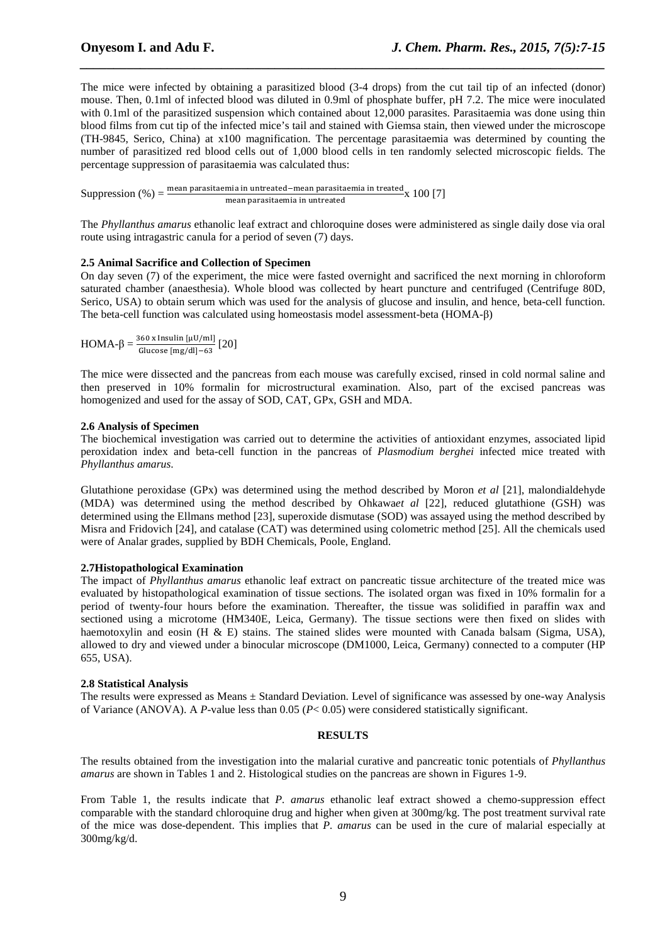The mice were infected by obtaining a parasitized blood (3-4 drops) from the cut tail tip of an infected (donor) mouse. Then, 0.1ml of infected blood was diluted in 0.9ml of phosphate buffer, pH 7.2. The mice were inoculated with 0.1ml of the parasitized suspension which contained about 12,000 parasites. Parasitaemia was done using thin blood films from cut tip of the infected mice's tail and stained with Giemsa stain, then viewed under the microscope (TH-9845, Serico, China) at x100 magnification. The percentage parasitaemia was determined by counting the number of parasitized red blood cells out of 1,000 blood cells in ten randomly selected microscopic fields. The percentage suppression of parasitaemia was calculated thus:

*\_\_\_\_\_\_\_\_\_\_\_\_\_\_\_\_\_\_\_\_\_\_\_\_\_\_\_\_\_\_\_\_\_\_\_\_\_\_\_\_\_\_\_\_\_\_\_\_\_\_\_\_\_\_\_\_\_\_\_\_\_\_\_\_\_\_\_\_\_\_\_\_\_\_\_\_\_\_*

Suppression  $(\%) = \frac{\text{mean parasitaemia in untreated-mean parasitaemia in treated}}{\text{mean parasitaemia in untrasted}} \times 100 [7]$ mean parasitaemia in untreated

The *Phyllanthus amarus* ethanolic leaf extract and chloroquine doses were administered as single daily dose via oral route using intragastric canula for a period of seven (7) days.

#### **2.5 Animal Sacrifice and Collection of Specimen**

On day seven (7) of the experiment, the mice were fasted overnight and sacrificed the next morning in chloroform saturated chamber (anaesthesia). Whole blood was collected by heart puncture and centrifuged (Centrifuge 80D, Serico, USA) to obtain serum which was used for the analysis of glucose and insulin, and hence, beta-cell function. The beta-cell function was calculated using homeostasis model assessment-beta (HOMA-β)

 $HOMA-\beta = \frac{360 \text{ x Insulin} [\mu U/ml]}{Glu 628 \text{ km s (dll) } G}$  $\frac{1}{\text{Glucose [mg/d]}-63}$  [20]

The mice were dissected and the pancreas from each mouse was carefully excised, rinsed in cold normal saline and then preserved in 10% formalin for microstructural examination. Also, part of the excised pancreas was homogenized and used for the assay of SOD, CAT, GPx, GSH and MDA.

#### **2.6 Analysis of Specimen**

The biochemical investigation was carried out to determine the activities of antioxidant enzymes, associated lipid peroxidation index and beta-cell function in the pancreas of *Plasmodium berghei* infected mice treated with *Phyllanthus amarus*.

Glutathione peroxidase (GPx) was determined using the method described by Moron *et al* [21], malondialdehyde (MDA) was determined using the method described by Ohkawa*et al* [22], reduced glutathione (GSH) was determined using the Ellmans method [23], superoxide dismutase (SOD) was assayed using the method described by Misra and Fridovich [24], and catalase (CAT) was determined using colometric method [25]. All the chemicals used were of Analar grades, supplied by BDH Chemicals, Poole, England.

#### **2.7Histopathological Examination**

The impact of *Phyllanthus amarus* ethanolic leaf extract on pancreatic tissue architecture of the treated mice was evaluated by histopathological examination of tissue sections. The isolated organ was fixed in 10% formalin for a period of twenty-four hours before the examination. Thereafter, the tissue was solidified in paraffin wax and sectioned using a microtome (HM340E, Leica, Germany). The tissue sections were then fixed on slides with haemotoxylin and eosin (H & E) stains. The stained slides were mounted with Canada balsam (Sigma, USA), allowed to dry and viewed under a binocular microscope (DM1000, Leica, Germany) connected to a computer (HP 655, USA).

#### **2.8 Statistical Analysis**

The results were expressed as Means ± Standard Deviation. Level of significance was assessed by one-way Analysis of Variance (ANOVA). A *P*-value less than 0.05 (*P*< 0.05) were considered statistically significant.

#### **RESULTS**

The results obtained from the investigation into the malarial curative and pancreatic tonic potentials of *Phyllanthus amarus* are shown in Tables 1 and 2. Histological studies on the pancreas are shown in Figures 1-9.

From Table 1, the results indicate that *P. amarus* ethanolic leaf extract showed a chemo-suppression effect comparable with the standard chloroquine drug and higher when given at 300mg/kg. The post treatment survival rate of the mice was dose-dependent. This implies that *P. amarus* can be used in the cure of malarial especially at 300mg/kg/d.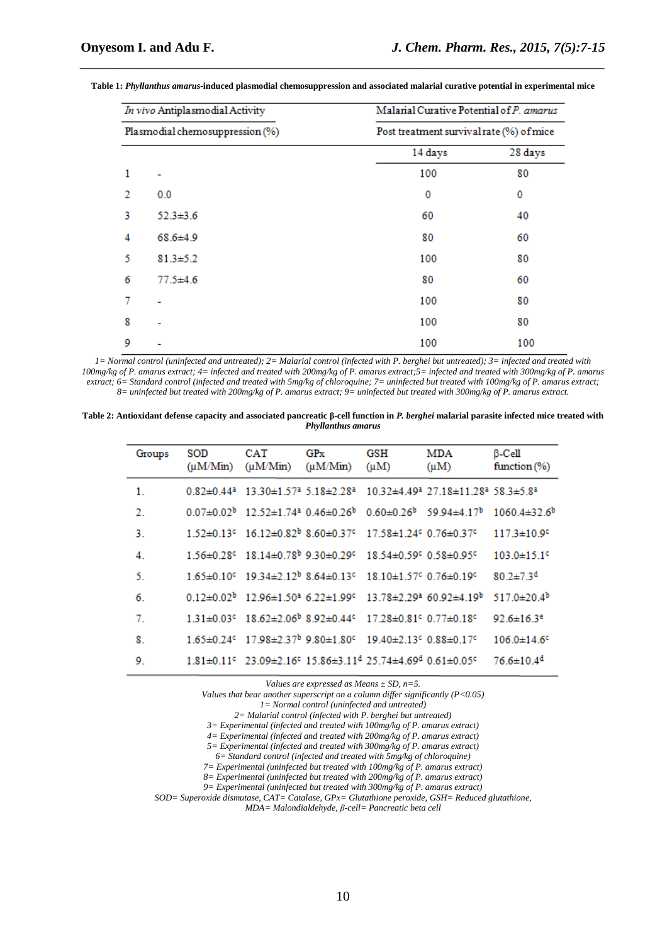| In vivo Antiplasmodial Activity<br>Plasmodial chemosuppression (%) |                | Malarial Curative Potential of P. amarus |             |  |  |
|--------------------------------------------------------------------|----------------|------------------------------------------|-------------|--|--|
|                                                                    |                | Post treatment survival rate (%) of mice |             |  |  |
|                                                                    |                | 14 days                                  | 28 days     |  |  |
| 1                                                                  |                | 100                                      | 80          |  |  |
| 2                                                                  | 0.0            | 0                                        | $\mathbf 0$ |  |  |
| 3                                                                  | $52.3 \pm 3.6$ | 60                                       | 40          |  |  |
| 4                                                                  | $68.6{\pm}4.9$ | 80                                       | 60          |  |  |
| 5                                                                  | $81.3 + 5.2$   | 100                                      | 80          |  |  |
| 6                                                                  | $77.5 \pm 4.6$ | 80                                       | 60          |  |  |
| 7                                                                  |                | 100                                      | 80          |  |  |
| 8                                                                  |                | 100                                      | 80          |  |  |
| 9                                                                  |                | 100                                      | 100         |  |  |

**Table 1:** *Phyllanthus amarus-***induced plasmodial chemosuppression and associated malarial curative potential in experimental mice** 

*\_\_\_\_\_\_\_\_\_\_\_\_\_\_\_\_\_\_\_\_\_\_\_\_\_\_\_\_\_\_\_\_\_\_\_\_\_\_\_\_\_\_\_\_\_\_\_\_\_\_\_\_\_\_\_\_\_\_\_\_\_\_\_\_\_\_\_\_\_\_\_\_\_\_\_\_\_\_*

*1= Normal control (uninfected and untreated); 2= Malarial control (infected with P. berghei but untreated); 3= infected and treated with 100mg/kg of P. amarus extract; 4= infected and treated with 200mg/kg of P. amarus extract;5= infected and treated with 300mg/kg of P. amarus extract; 6= Standard control (infected and treated with 5mg/kg of chloroquine; 7= uninfected but treated with 100mg/kg of P. amarus extract; 8= uninfected but treated with 200mg/kg of P. amarus extract; 9= uninfected but treated with 300mg/kg of P. amarus extract.* 

**Table 2: Antioxidant defense capacity and associated pancreatic β-cell function in** *P. berghei* **malarial parasite infected mice treated with**  *Phyllanthus amarus* 

| Groups | <b>SOD</b><br>$(\mu M/Min)$  | <b>CAT</b><br>$(\mu M/Min)$                                                                                                                    | GPx<br>$(\mu M/Min)$ | GSH<br>$(\mu M)$                                           | <b>MDA</b><br>$(\mu M)$                                                                | $\beta$ -Cell<br>function $(\%)$                                           |
|--------|------------------------------|------------------------------------------------------------------------------------------------------------------------------------------------|----------------------|------------------------------------------------------------|----------------------------------------------------------------------------------------|----------------------------------------------------------------------------|
| 1.     | $0.82 \pm 0.44$ <sup>a</sup> | $13.30 \pm 1.57$ <sup>a</sup> 5.18 $\pm$ 2.28 <sup>a</sup>                                                                                     |                      |                                                            | $10.32\pm4.49$ <sup>2</sup> 27.18 $\pm$ 11.28 <sup>2</sup> 58.3 $\pm$ 5.8 <sup>2</sup> |                                                                            |
| -2.    |                              | $0.07\pm0.02^{\circ}$ 12.52 $\pm1.74^{\circ}$ 0.46 $\pm0.26^{\circ}$                                                                           |                      |                                                            |                                                                                        | $0.60 \pm 0.26^{\circ}$ 59.94 $\pm 4.17^{\circ}$ 1060.4 $\pm 32.6^{\circ}$ |
| 3.     |                              | $1.52 \pm 0.13$ <sup>c</sup> $16.12 \pm 0.82$ <sup>b</sup> 8.60 $\pm$ 0.37 <sup>c</sup>                                                        |                      | $17.58 \pm 1.24$ <sup>c</sup> 0.76 $\pm$ 0.37 <sup>c</sup> |                                                                                        | $117.3 \pm 10.9$ <sup>c</sup>                                              |
| 4.     |                              | $1.56\pm0.28$ <sup>c</sup> $18.14\pm0.78$ <sup>b</sup> 9.30 $\pm$ 0.29 <sup>c</sup> 18.54 $\pm$ 0.59 <sup>c</sup> 0.58 $\pm$ 0.95 <sup>c</sup> |                      |                                                            |                                                                                        | $103.0 \pm 15.1$ <sup>c</sup>                                              |
| 5.     |                              | $1.65\pm0.10$ <sup>c</sup> $19.34\pm2.12$ <sup>b</sup> 8.64 $\pm$ 0.13 <sup>c</sup>                                                            |                      | $18.10 \pm 1.57$ <sup>c</sup> 0.76 $\pm$ 0.19 <sup>c</sup> |                                                                                        | $80.2 \pm 7.3$ <sup>d</sup>                                                |
| 6.     |                              | $0.12\pm0.02^{\circ}$ 12.96 $\pm1.50^{\circ}$ 6.22 $\pm1.99^{\circ}$ 13.78 $\pm2.29^{\circ}$ 60.92 $\pm4.19^{\circ}$                           |                      |                                                            |                                                                                        | 517.0 $\pm$ 20.4 <sup>b</sup>                                              |
| 7.     |                              | 1.31±0.03° 18.62±2.06 <sup>b</sup> 8.92±0.44° 17.28±0.81° 0.77±0.18°                                                                           |                      |                                                            |                                                                                        | 92.6 $\pm$ 16.3 <sup>e</sup>                                               |
| 8.     |                              | $1.65 \pm 0.24$ <sup>c</sup> $17.98 \pm 2.37$ <sup>b</sup> $9.80 \pm 1.80$ <sup>c</sup>                                                        |                      | $19.40 \pm 2.13$ <sup>c</sup> 0.88 $\pm$ 0.17 <sup>c</sup> |                                                                                        | $106.0 \pm 14.6$ <sup>c</sup>                                              |
| 9.     |                              | $1.81\pm0.11$ <sup>c</sup> $23.09\pm2.16$ <sup>c</sup> $15.86\pm3.11$ <sup>d</sup> $25.74\pm4.69$ <sup>d</sup> $0.61\pm0.05$ <sup>c</sup>      |                      |                                                            |                                                                                        | $76.6 \pm 10.4$ <sup>d</sup>                                               |
|        |                              |                                                                                                                                                |                      |                                                            |                                                                                        |                                                                            |

*Values are expressed as Means ± SD, n=5.* 

*Values that bear another superscript on a column differ significantly (P<0.05)* 

*1= Normal control (uninfected and untreated)* 

*2= Malarial control (infected with P. berghei but untreated)* 

*3= Experimental (infected and treated with 100mg/kg of P. amarus extract)* 

*4= Experimental (infected and treated with 200mg/kg of P. amarus extract) 5= Experimental (infected and treated with 300mg/kg of P. amarus extract)* 

*6= Standard control (infected and treated with 5mg/kg of chloroquine)* 

*7= Experimental (uninfected but treated with 100mg/kg of P. amarus extract)* 

*8= Experimental (uninfected but treated with 200mg/kg of P. amarus extract)* 

*9= Experimental (uninfected but treated with 300mg/kg of P. amarus extract)* 

*SOD= Superoxide dismutase, CAT= Catalase, GPx= Glutathione peroxide, GSH= Reduced glutathione,* 

*MDA= Malondialdehyde, β-cell= Pancreatic beta cell*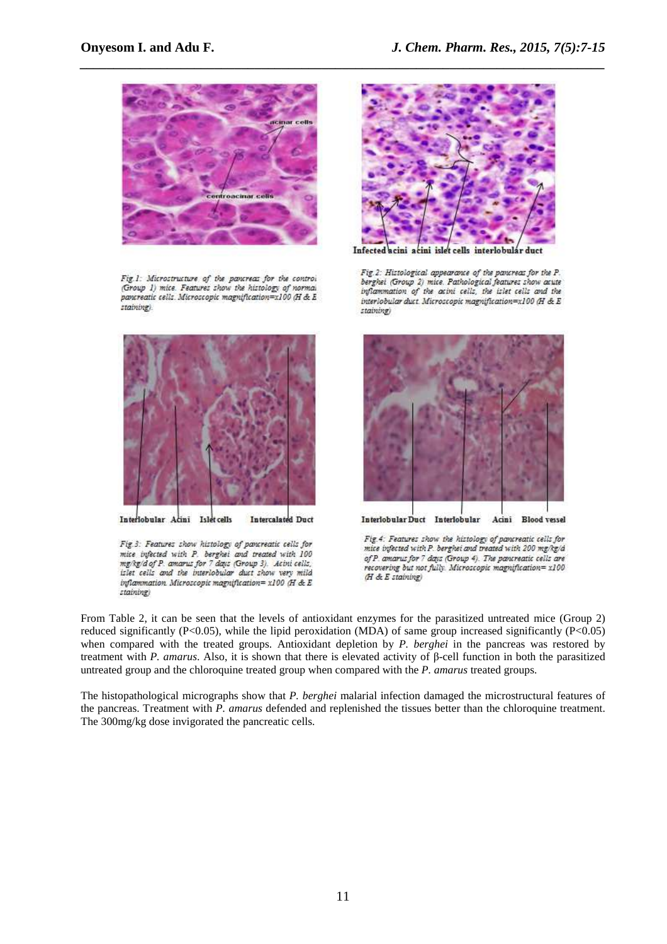

Fig.1: Microstructure of the pancreas for the control (Group 1) mice. Features show the histology of normal pancreatic cells. Microscopic magnification=x100 (H & E staining).



Interlobular Acini Islet cells Intercalated Duct

Fig.3: Features show histology of pancreatic cells for mice infected with P. berghei and treated with 100 mg/kg/d of P. amarus for 7 days (Group 3). Acivi cells, islet cells and the interlobular duct show very mild inflammation. Microscopic magnification= x100 (H & E staining



iel calls interlobul duct

Fig.2: Histological appearance of the pancreas for the P. berghet (Group 2) mice. Pathological features show acute inflammation of the acini cells, the islet cells and the interlobular duct. Microscopic magnification=x100 (H & E staining)



Interlobular Duct Interlobular Acini Blood vessel

Fig.4: Features show the histology of parareatic cells for mice infected with P. berghei and treated with 200 mg/kg/d of P. amarus for 7 days (Group 4). The pancreatic cells are recovering but not fully. Microscopic magnification= x100  $(H & E$  staining)

From Table 2, it can be seen that the levels of antioxidant enzymes for the parasitized untreated mice (Group 2) reduced significantly (P<0.05), while the lipid peroxidation (MDA) of same group increased significantly (P<0.05) when compared with the treated groups. Antioxidant depletion by *P. berghei* in the pancreas was restored by treatment with *P. amarus*. Also, it is shown that there is elevated activity of β-cell function in both the parasitized untreated group and the chloroquine treated group when compared with the *P. amarus* treated groups.

The histopathological micrographs show that *P. berghei* malarial infection damaged the microstructural features of the pancreas. Treatment with *P. amarus* defended and replenished the tissues better than the chloroquine treatment. The 300mg/kg dose invigorated the pancreatic cells.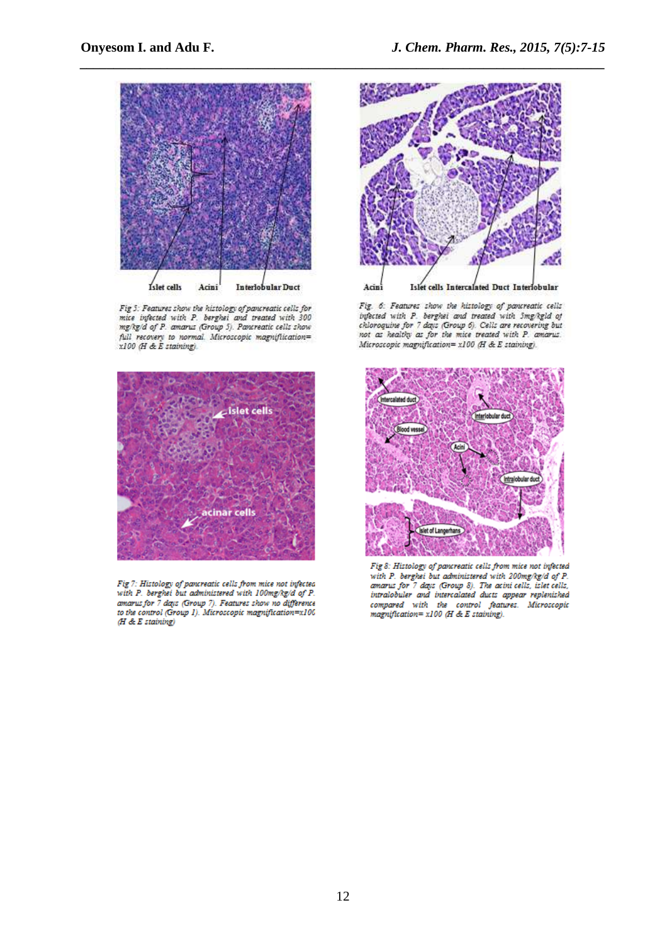

Fig 5: Features show the histology of pancreatic cells for<br>mice infected with P. berghei and treated with 300 mg/kg/d of P. amarus (Group 5). Pancreatic cells show full recovery to normal. Microscopic magnification=<br>x100 (H & E staining).



Fig 7: Histology of parareatic cells from mice not infected with P. berghei but administered with 100mg/kg/d of P.<br>amarus for 7 days (Group 7). Features show no difference<br>to the control (Group 1). Microscopic magnificati  $(H \& E$  staining)



Fig. 6: Features show the histology of parareatic cells<br>infected with P. berghet and treated with 5mg/kgld of<br>chloroquine for 7 days (Group 6). Cells are recovering but<br>not as healthy as for the mice treated with P. amarus Microscopic magnification= x100 (H & E staining).



Fig 8: Histology of pancreatic cells from mice not infected with P. berghei but administered with 200mg/kg/d of P.<br>amarus for 7 days (Group 8). The acini cells, islet cells, intralobuler and intercalated ducts appear replenished compared with the control features. Microscopic magnification= $x100$  (H & E staining).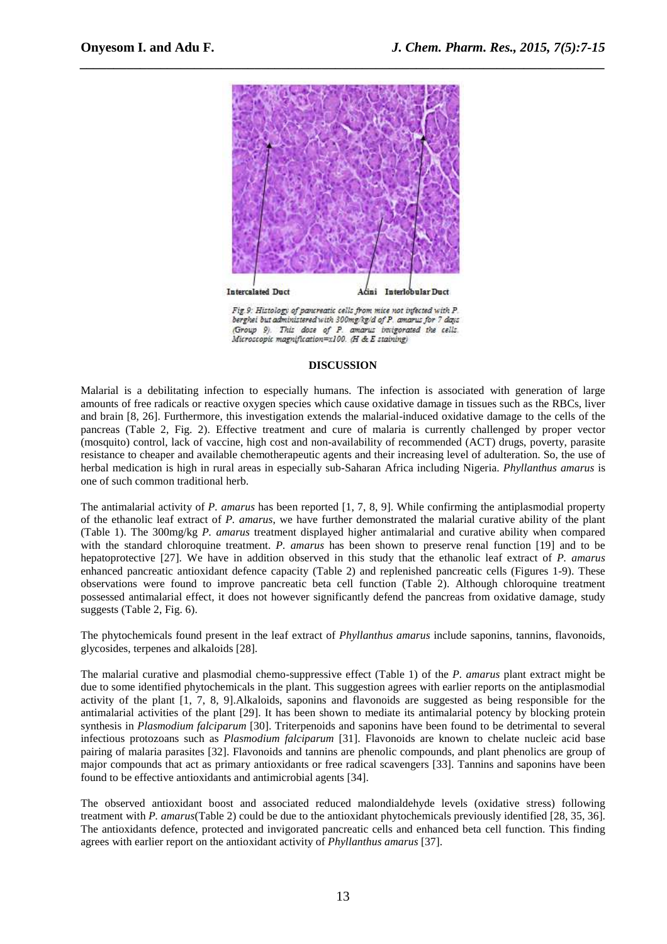

*\_\_\_\_\_\_\_\_\_\_\_\_\_\_\_\_\_\_\_\_\_\_\_\_\_\_\_\_\_\_\_\_\_\_\_\_\_\_\_\_\_\_\_\_\_\_\_\_\_\_\_\_\_\_\_\_\_\_\_\_\_\_\_\_\_\_\_\_\_\_\_\_\_\_\_\_\_\_*

Fig.9: Histology of parareatic cells from mice not infected with P. berghei but administered with 300mg/kg/d of P. amarus for 7 days (Group 9). This dose of P. amarus invigorated the cells. Microscopic magnification=x100. (H & E staining)

#### **DISCUSSION**

Malarial is a debilitating infection to especially humans. The infection is associated with generation of large amounts of free radicals or reactive oxygen species which cause oxidative damage in tissues such as the RBCs, liver and brain [8, 26]. Furthermore, this investigation extends the malarial-induced oxidative damage to the cells of the pancreas (Table 2, Fig. 2). Effective treatment and cure of malaria is currently challenged by proper vector (mosquito) control, lack of vaccine, high cost and non-availability of recommended (ACT) drugs, poverty, parasite resistance to cheaper and available chemotherapeutic agents and their increasing level of adulteration. So, the use of herbal medication is high in rural areas in especially sub-Saharan Africa including Nigeria. *Phyllanthus amarus* is one of such common traditional herb.

The antimalarial activity of *P. amarus* has been reported [1, 7, 8, 9]. While confirming the antiplasmodial property of the ethanolic leaf extract of *P. amarus*, we have further demonstrated the malarial curative ability of the plant (Table 1). The 300mg/kg *P. amarus* treatment displayed higher antimalarial and curative ability when compared with the standard chloroquine treatment. *P. amarus* has been shown to preserve renal function [19] and to be hepatoprotective [27]. We have in addition observed in this study that the ethanolic leaf extract of *P. amarus*  enhanced pancreatic antioxidant defence capacity (Table 2) and replenished pancreatic cells (Figures 1-9). These observations were found to improve pancreatic beta cell function (Table 2). Although chloroquine treatment possessed antimalarial effect, it does not however significantly defend the pancreas from oxidative damage, study suggests (Table 2, Fig. 6).

The phytochemicals found present in the leaf extract of *Phyllanthus amarus* include saponins, tannins, flavonoids, glycosides, terpenes and alkaloids [28].

The malarial curative and plasmodial chemo-suppressive effect (Table 1) of the *P. amarus* plant extract might be due to some identified phytochemicals in the plant. This suggestion agrees with earlier reports on the antiplasmodial activity of the plant [1, 7, 8, 9].Alkaloids, saponins and flavonoids are suggested as being responsible for the antimalarial activities of the plant [29]. It has been shown to mediate its antimalarial potency by blocking protein synthesis in *Plasmodium falciparum* [30]. Triterpenoids and saponins have been found to be detrimental to several infectious protozoans such as *Plasmodium falciparum* [31]. Flavonoids are known to chelate nucleic acid base pairing of malaria parasites [32]. Flavonoids and tannins are phenolic compounds, and plant phenolics are group of major compounds that act as primary antioxidants or free radical scavengers [33]. Tannins and saponins have been found to be effective antioxidants and antimicrobial agents [34].

The observed antioxidant boost and associated reduced malondialdehyde levels (oxidative stress) following treatment with *P. amarus*(Table 2) could be due to the antioxidant phytochemicals previously identified [28, 35, 36]. The antioxidants defence, protected and invigorated pancreatic cells and enhanced beta cell function. This finding agrees with earlier report on the antioxidant activity of *Phyllanthus amarus* [37].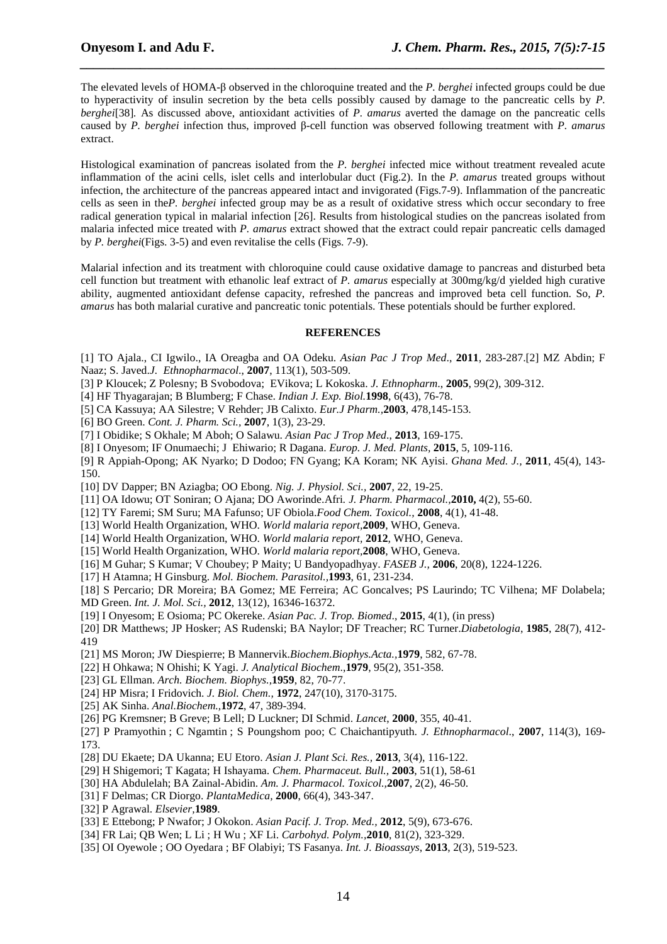The elevated levels of HOMA-β observed in the chloroquine treated and the *P. berghei* infected groups could be due to hyperactivity of insulin secretion by the beta cells possibly caused by damage to the pancreatic cells by *P. berghei*[38]*.* As discussed above, antioxidant activities of *P. amarus* averted the damage on the pancreatic cells caused by *P. berghei* infection thus, improved β-cell function was observed following treatment with *P. amarus*  extract.

*\_\_\_\_\_\_\_\_\_\_\_\_\_\_\_\_\_\_\_\_\_\_\_\_\_\_\_\_\_\_\_\_\_\_\_\_\_\_\_\_\_\_\_\_\_\_\_\_\_\_\_\_\_\_\_\_\_\_\_\_\_\_\_\_\_\_\_\_\_\_\_\_\_\_\_\_\_\_*

Histological examination of pancreas isolated from the *P. berghei* infected mice without treatment revealed acute inflammation of the acini cells, islet cells and interlobular duct (Fig.2). In the *P. amarus* treated groups without infection, the architecture of the pancreas appeared intact and invigorated (Figs.7-9). Inflammation of the pancreatic cells as seen in the*P. berghei* infected group may be as a result of oxidative stress which occur secondary to free radical generation typical in malarial infection [26]. Results from histological studies on the pancreas isolated from malaria infected mice treated with *P. amarus* extract showed that the extract could repair pancreatic cells damaged by *P. berghei*(Figs. 3-5) and even revitalise the cells (Figs. 7-9).

Malarial infection and its treatment with chloroquine could cause oxidative damage to pancreas and disturbed beta cell function but treatment with ethanolic leaf extract of *P. amarus* especially at 300mg/kg/d yielded high curative ability, augmented antioxidant defense capacity, refreshed the pancreas and improved beta cell function. So, *P. amarus* has both malarial curative and pancreatic tonic potentials. These potentials should be further explored.

#### **REFERENCES**

- [1] TO Ajala., CI Igwilo., IA Oreagba and OA Odeku. *Asian Pac J Trop Med*., **2011**, 283-287.[2] MZ Abdin; F Naaz; S. Javed.*J. Ethnopharmacol*., **2007**, 113(1), 503-509.
- [3] P Kloucek; Z Polesny; B Svobodova; EVikova; L Kokoska. *J. Ethnopharm*., **2005**, 99(2), 309-312.
- [4] HF Thyagarajan; B Blumberg; F Chase. *Indian J. Exp. Biol.***1998**, 6(43), 76-78.
- [5] CA Kassuya; AA Silestre; V Rehder; JB Calixto. *Eur.J Pharm.,***2003**, 478,145-153.
- [6] BO Green. *Cont. J. Pharm. Sci.,* **2007**, 1(3), 23-29.
- [7] I Obidike; S Okhale; M Aboh; O Salawu. *Asian Pac J Trop Med*., **2013**, 169-175.
- [8] I Onyesom; IF Onumaechi; J Ehiwario; R Dagana. *Europ. J. Med. Plants,* **2015**, 5, 109-116.
- [9] R Appiah-Opong; AK Nyarko; D Dodoo; FN Gyang; KA Koram; NK Ayisi. *Ghana Med. J.,* **2011**, 45(4), 143- 150.
- [10] DV Dapper; BN Aziagba; OO Ebong. *Nig. J. Physiol. Sci.,* **2007**, 22, 19-25.
- [11] OA Idowu; OT Soniran; O Ajana; DO Aworinde.Afri*. J. Pharm. Pharmacol.,***2010,** 4(2), 55-60.
- [12] TY Faremi; SM Suru; MA Fafunso; UF Obiola.*Food Chem. Toxicol.,* **2008**, 4(1), 41-48.
- [13] World Health Organization, WHO. *World malaria report,***2009**, WHO, Geneva.
- [14] World Health Organization, WHO. *World malaria report,* **2012**, WHO, Geneva.
- [15] World Health Organization, WHO. *World malaria report,***2008**, WHO, Geneva.
- [16] M Guhar; S Kumar; V Choubey; P Maity; U Bandyopadhyay. *FASEB J.,* **2006**, 20(8), 1224-1226.
- [17] H Atamna; H Ginsburg. *Mol. Biochem. Parasitol.,***1993**, 61, 231-234.
- [18] S Percario; DR Moreira; BA Gomez; ME Ferreira; AC Goncalves; PS Laurindo; TC Vilhena; MF Dolabela;
- MD Green. *Int. J. Mol. Sci.,* **2012**, 13(12), 16346-16372.
- [19] I Onyesom; E Osioma; PC Okereke. *Asian Pac. J. Trop. Biomed*., **2015**, 4(1), (in press)
- [20] DR Matthews; JP Hosker; AS Rudenski; BA Naylor; DF Treacher; RC Turner.*Diabetologia*, **1985**, 28(7), 412- 419
- [21] MS Moron; JW Diespierre; B Mannervik.*Biochem.Biophys.Acta.,***1979**, 582, 67-78.
- [22] H Ohkawa; N Ohishi; K Yagi. *J. Analytical Biochem*.,**1979**, 95(2), 351-358.
- [23] GL Ellman. *Arch. Biochem. Biophys.,***1959**, 82, 70-77.
- [24] HP Misra; I Fridovich. *J. Biol. Chem.,* **1972**, 247(10), 3170-3175.
- [25] AK Sinha. *Anal.Biochem.,***1972**, 47, 389-394.
- [26] PG Kremsner; B Greve; B Lell; D Luckner; DI Schmid. *Lancet*, **2000**, 355, 40-41.
- [27] P Pramyothin ; C Ngamtin ; S Poungshom poo; C Chaichantipyuth. *J. Ethnopharmacol*., **2007**, 114(3), 169- 173.
- [28] DU Ekaete; DA Ukanna; EU Etoro. *Asian J. Plant Sci. Res.,* **2013**, 3(4), 116-122.
- [29] H Shigemori; T Kagata; H Ishayama. *Chem. Pharmaceut. Bull.,* **2003**, 51(1), 58-61
- [30] HA Abdulelah; BA Zainal-Abidin. *Am. J. Pharmacol. Toxicol.,***2007**, 2(2), 46-50.
- [31] F Delmas; CR Diorgo. *PlantaMedica,* **2000**, 66(4), 343-347.
- [32] P Agrawal. *Elsevier,***1989**.
- [33] E Ettebong; P Nwafor; J Okokon. *Asian Pacif. J. Trop. Med.,* **2012**, 5(9), 673-676.
- [34] FR Lai; QB Wen; L Li ; H Wu ; XF Li. *Carbohyd. Polym.,***2010**, 81(2), 323-329.
- [35] OI Oyewole ; OO Oyedara ; BF Olabiyi; TS Fasanya. *Int. J. Bioassays*, **2013**, 2(3), 519-523.